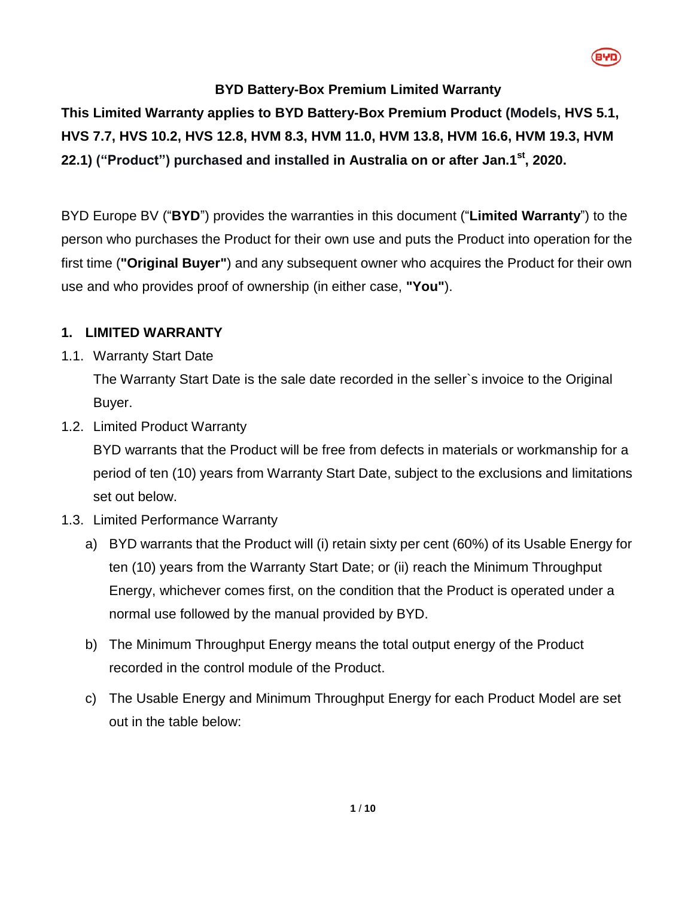# **BYD Battery-Box Premium Limited Warranty**

**This Limited Warranty applies to BYD Battery-Box Premium Product (Models, HVS 5.1, HVS 7.7, HVS 10.2, HVS 12.8, HVM 8.3, HVM 11.0, HVM 13.8, HVM 16.6, HVM 19.3, HVM 22.1) ("Product") purchased and installed in Australia on or after Jan.1 st , 2020.**

BYD Europe BV ("**BYD**") provides the warranties in this document ("**Limited Warranty**") to the person who purchases the Product for their own use and puts the Product into operation for the first time (**"Original Buyer"**) and any subsequent owner who acquires the Product for their own use and who provides proof of ownership (in either case, **"You"**).

# **1. LIMITED WARRANTY**

1.1. Warranty Start Date

The Warranty Start Date is the sale date recorded in the seller`s invoice to the Original Buyer.

<span id="page-0-1"></span>1.2. Limited Product Warranty

BYD warrants that the Product will be free from defects in materials or workmanship for a period of ten (10) years from Warranty Start Date, subject to the exclusions and limitations set out below.

- <span id="page-0-0"></span>1.3. Limited Performance Warranty
	- a) BYD warrants that the Product will (i) retain sixty per cent (60%) of its Usable Energy for ten (10) years from the Warranty Start Date; or (ii) reach the Minimum Throughput Energy, whichever comes first, on the condition that the Product is operated under a normal use followed by the manual provided by BYD.
	- b) The Minimum Throughput Energy means the total output energy of the Product recorded in the control module of the Product.
	- c) The Usable Energy and Minimum Throughput Energy for each Product Model are set out in the table below: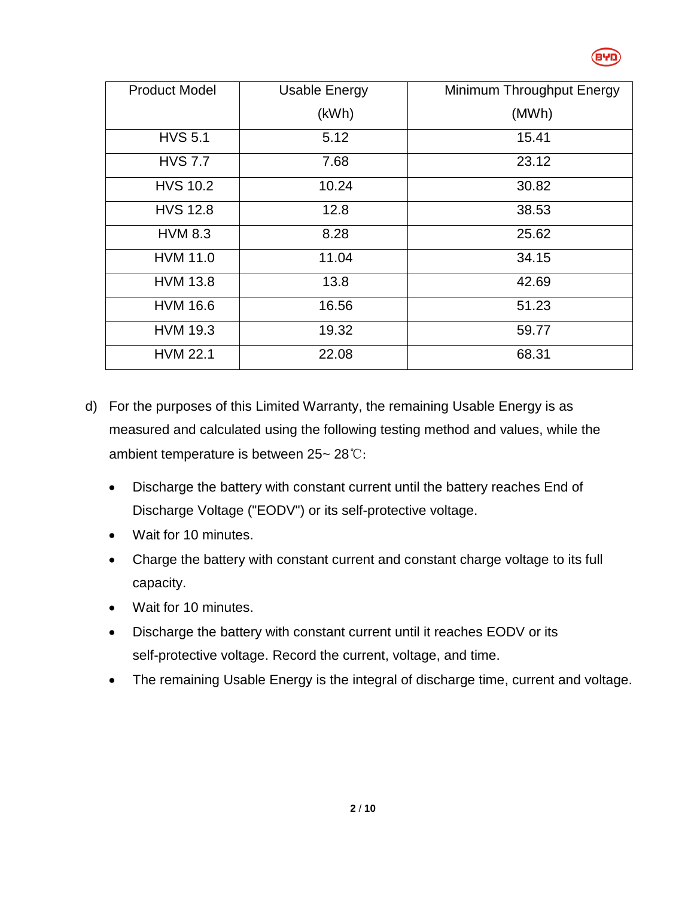

| <b>Product Model</b> | <b>Usable Energy</b> | Minimum Throughput Energy |
|----------------------|----------------------|---------------------------|
|                      | (kWh)                | (MWh)                     |
| <b>HVS 5.1</b>       | 5.12                 | 15.41                     |
| <b>HVS 7.7</b>       | 7.68                 | 23.12                     |
| <b>HVS 10.2</b>      | 10.24                | 30.82                     |
| <b>HVS 12.8</b>      | 12.8                 | 38.53                     |
| <b>HVM 8.3</b>       | 8.28                 | 25.62                     |
| <b>HVM 11.0</b>      | 11.04                | 34.15                     |
| <b>HVM 13.8</b>      | 13.8                 | 42.69                     |
| <b>HVM 16.6</b>      | 16.56                | 51.23                     |
| <b>HVM 19.3</b>      | 19.32                | 59.77                     |
| <b>HVM 22.1</b>      | 22.08                | 68.31                     |

- d) For the purposes of this Limited Warranty, the remaining Usable Energy is as measured and calculated using the following testing method and values, while the ambient temperature is between 25~ 28℃:
	- Discharge the battery with constant current until the battery reaches End of Discharge Voltage ("EODV") or its self-protective voltage.
	- Wait for 10 minutes.
	- Charge the battery with constant current and constant charge voltage to its full capacity.
	- Wait for 10 minutes.
	- Discharge the battery with constant current until it reaches EODV or its self-protective voltage. Record the current, voltage, and time.
	- The remaining Usable Energy is the integral of discharge time, current and voltage.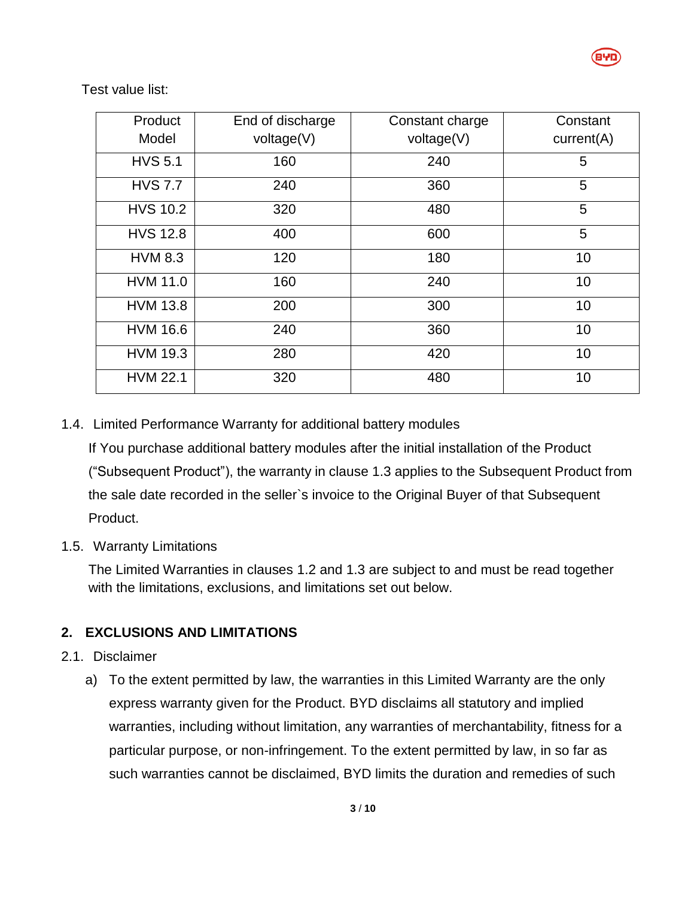

Test value list:

| Product         | End of discharge | Constant charge | Constant   |
|-----------------|------------------|-----------------|------------|
| Model           | voltage(V)       | voltage(V)      | current(A) |
| <b>HVS 5.1</b>  | 160              | 240             | 5          |
| <b>HVS 7.7</b>  | 240              | 360             | 5          |
| <b>HVS 10.2</b> | 320              | 480             | 5          |
| <b>HVS 12.8</b> | 400              | 600             | 5          |
| <b>HVM 8.3</b>  | 120              | 180             | 10         |
| <b>HVM 11.0</b> | 160              | 240             | 10         |
| <b>HVM 13.8</b> | 200              | 300             | 10         |
| <b>HVM 16.6</b> | 240              | 360             | 10         |
| <b>HVM 19.3</b> | 280              | 420             | 10         |
| <b>HVM 22.1</b> | 320              | 480             | 10         |

## 1.4. Limited Performance Warranty for additional battery modules

If You purchase additional battery modules after the initial installation of the Product ("Subsequent Product"), the warranty in clause [1.3](#page-0-0) applies to the Subsequent Product from the sale date recorded in the seller`s invoice to the Original Buyer of that Subsequent Product.

#### 1.5. Warranty Limitations

The Limited Warranties in clauses [1.2](#page-0-1) and [1.3](#page-0-0) are subject to and must be read together with the limitations, exclusions, and limitations set out below.

## **2. EXCLUSIONS AND LIMITATIONS**

#### 2.1. Disclaimer

a) To the extent permitted by law, the warranties in this Limited Warranty are the only express warranty given for the Product. BYD disclaims all statutory and implied warranties, including without limitation, any warranties of merchantability, fitness for a particular purpose, or non-infringement. To the extent permitted by law, in so far as such warranties cannot be disclaimed, BYD limits the duration and remedies of such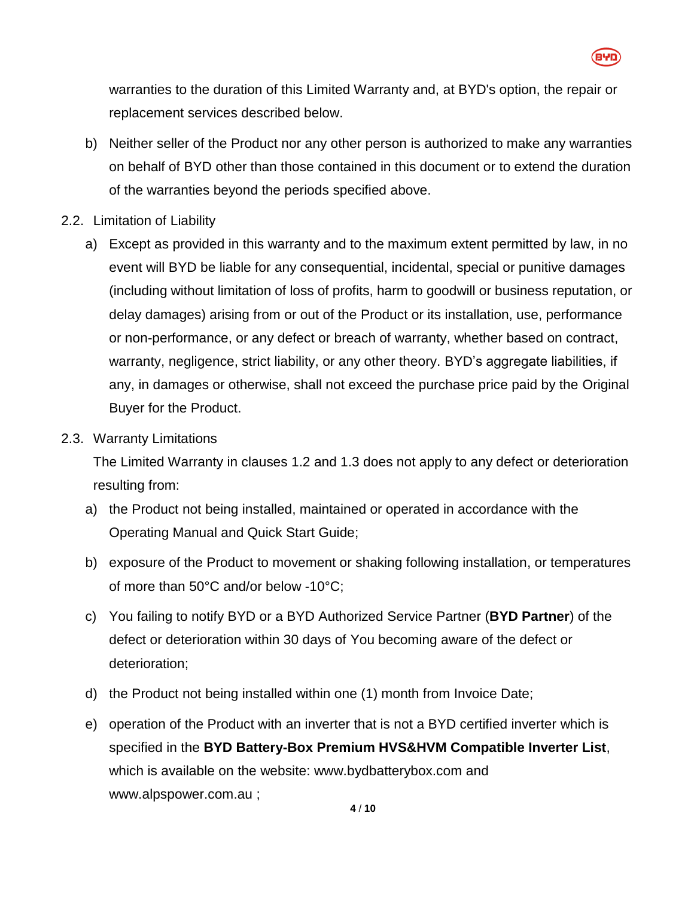

warranties to the duration of this Limited Warranty and, at BYD's option, the repair or replacement services described below.

- b) Neither seller of the Product nor any other person is authorized to make any warranties on behalf of BYD other than those contained in this document or to extend the duration of the warranties beyond the periods specified above.
- 2.2. Limitation of Liability
	- a) Except as provided in this warranty and to the maximum extent permitted by law, in no event will BYD be liable for any consequential, incidental, special or punitive damages (including without limitation of loss of profits, harm to goodwill or business reputation, or delay damages) arising from or out of the Product or its installation, use, performance or non-performance, or any defect or breach of warranty, whether based on contract, warranty, negligence, strict liability, or any other theory. BYD's aggregate liabilities, if any, in damages or otherwise, shall not exceed the purchase price paid by the Original Buyer for the Product.
- 2.3. Warranty Limitations

The Limited Warranty in clauses [1.2](#page-0-1) and [1.3](#page-0-0) does not apply to any defect or deterioration resulting from:

- a) the Product not being installed, maintained or operated in accordance with the Operating Manual and Quick Start Guide;
- b) exposure of the Product to movement or shaking following installation, or temperatures of more than 50°C and/or below -10°C;
- c) You failing to notify BYD or a BYD Authorized Service Partner (**BYD Partner**) of the defect or deterioration within 30 days of You becoming aware of the defect or deterioration;
- d) the Product not being installed within one (1) month from Invoice Date;
- e) operation of the Product with an inverter that is not a BYD certified inverter which is specified in the **BYD Battery-Box Premium HVS&HVM Compatible Inverter List**, which is available on the website: [www.bydbatterybox.com](http://www.bydbatterybox.com/) and www.alpspower.com.au ;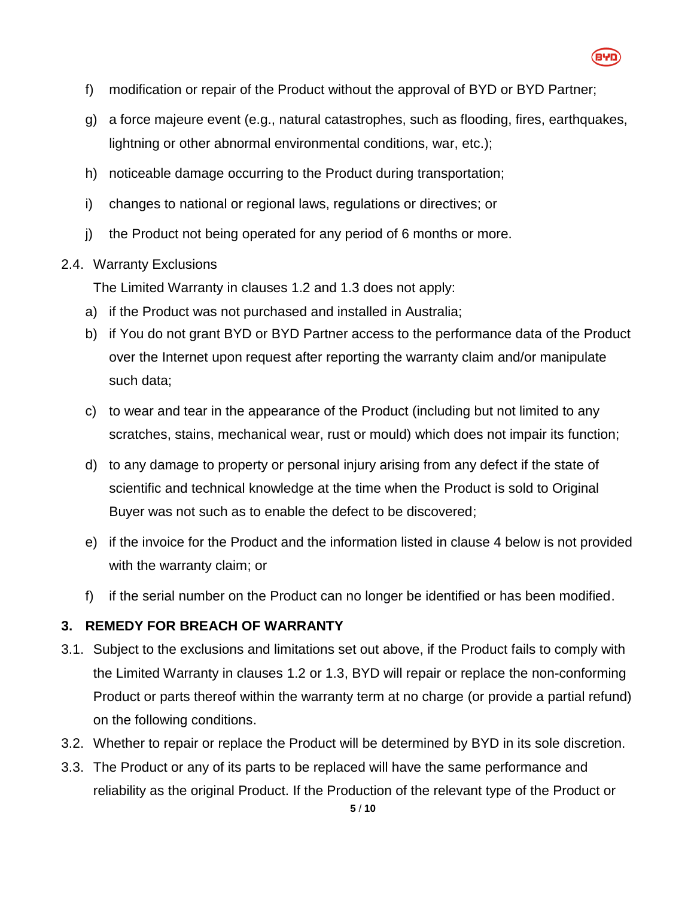

- f) modification or repair of the Product without the approval of BYD or BYD Partner;
- g) a force majeure event (e.g., natural catastrophes, such as flooding, fires, earthquakes, lightning or other abnormal environmental conditions, war, etc.);
- h) noticeable damage occurring to the Product during transportation;
- i) changes to national or regional laws, regulations or directives; or
- j) the Product not being operated for any period of 6 months or more.

#### 2.4. Warranty Exclusions

The Limited Warranty in clauses [1.2](#page-0-1) and [1.3](#page-0-0) does not apply:

- a) if the Product was not purchased and installed in Australia;
- b) if You do not grant BYD or BYD Partner access to the performance data of the Product over the Internet upon request after reporting the warranty claim and/or manipulate such data;
- c) to wear and tear in the appearance of the Product (including but not limited to any scratches, stains, mechanical wear, rust or mould) which does not impair its function;
- d) to any damage to property or personal injury arising from any defect if the state of scientific and technical knowledge at the time when the Product is sold to Original Buyer was not such as to enable the defect to be discovered;
- e) if the invoice for the Product and the information listed in clause [4](#page-5-0) below is not provided with the warranty claim; or
- f) if the serial number on the Product can no longer be identified or has been modified.

## **3. REMEDY FOR BREACH OF WARRANTY**

- 3.1. Subject to the exclusions and limitations set out above, if the Product fails to comply with the Limited Warranty in clauses [1.2](#page-0-1) or [1.3,](#page-0-0) BYD will repair or replace the non-conforming Product or parts thereof within the warranty term at no charge (or provide a partial refund) on the following conditions.
- 3.2. Whether to repair or replace the Product will be determined by BYD in its sole discretion.
- 3.3. The Product or any of its parts to be replaced will have the same performance and reliability as the original Product. If the Production of the relevant type of the Product or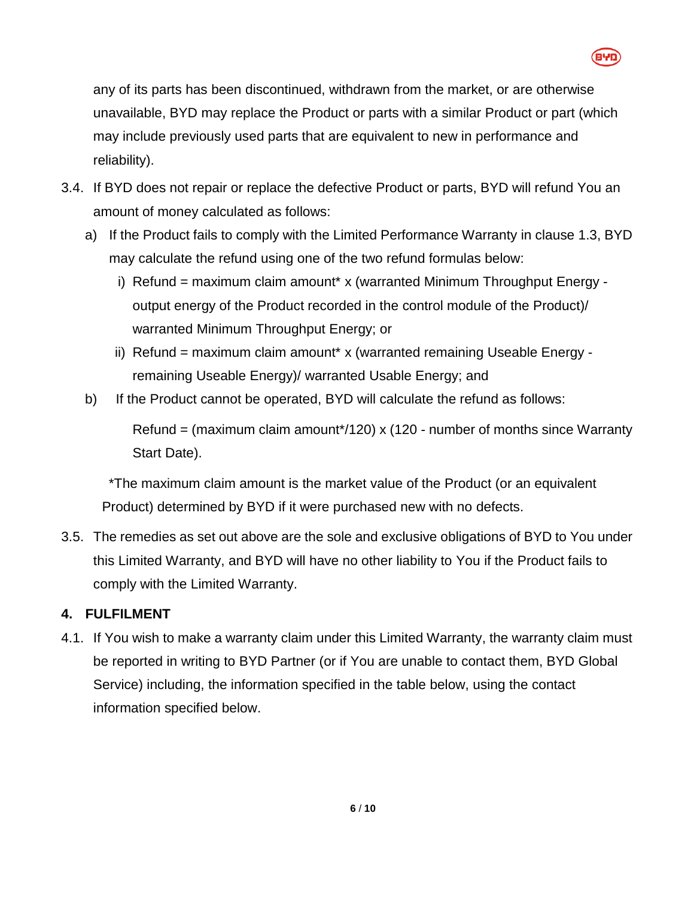

any of its parts has been discontinued, withdrawn from the market, or are otherwise unavailable, BYD may replace the Product or parts with a similar Product or part (which may include previously used parts that are equivalent to new in performance and reliability).

- 3.4. If BYD does not repair or replace the defective Product or parts, BYD will refund You an amount of money calculated as follows:
	- a) If the Product fails to comply with the Limited Performance Warranty in clause [1.3,](#page-0-0) BYD may calculate the refund using one of the two refund formulas below:
		- i) Refund = maximum claim amount\* x (warranted Minimum Throughput Energy output energy of the Product recorded in the control module of the Product)/ warranted Minimum Throughput Energy; or
		- ii) Refund = maximum claim amount\* x (warranted remaining Useable Energy remaining Useable Energy)/ warranted Usable Energy; and
	- b) If the Product cannot be operated, BYD will calculate the refund as follows:

Refund = (maximum claim amount\*/120) x (120 - number of months since Warranty Start Date).

\*The maximum claim amount is the market value of the Product (or an equivalent Product) determined by BYD if it were purchased new with no defects.

3.5. The remedies as set out above are the sole and exclusive obligations of BYD to You under this Limited Warranty, and BYD will have no other liability to You if the Product fails to comply with the Limited Warranty.

# <span id="page-5-0"></span>**4. FULFILMENT**

4.1. If You wish to make a warranty claim under this Limited Warranty, the warranty claim must be reported in writing to BYD Partner (or if You are unable to contact them, BYD Global Service) including, the information specified in the table below, using the contact information specified below.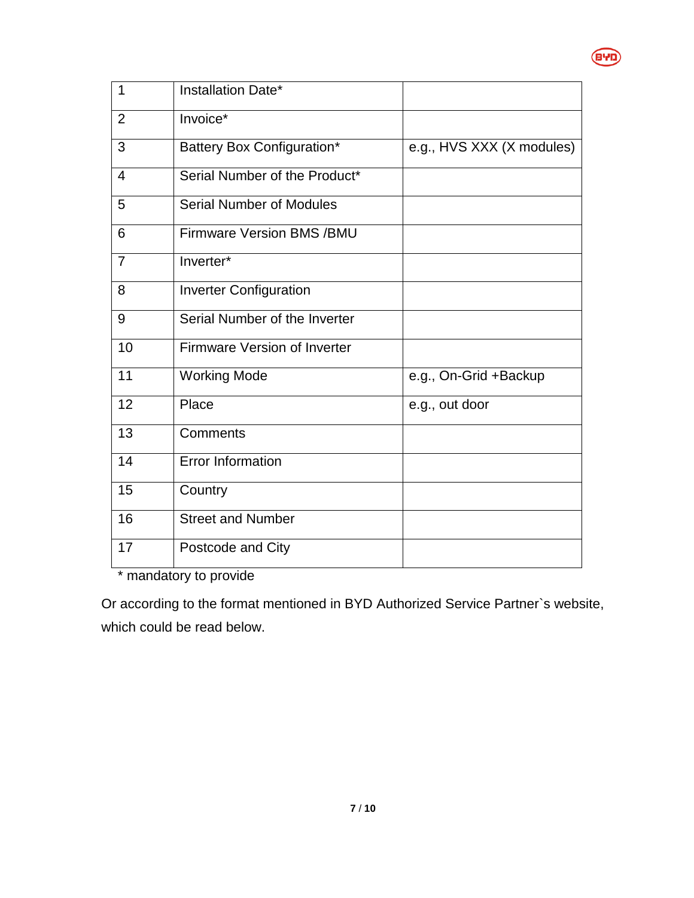

| 1              | Installation Date*               |                           |
|----------------|----------------------------------|---------------------------|
| 2              | Invoice*                         |                           |
| 3              | Battery Box Configuration*       | e.g., HVS XXX (X modules) |
| $\overline{4}$ | Serial Number of the Product*    |                           |
| 5              | <b>Serial Number of Modules</b>  |                           |
| 6              | <b>Firmware Version BMS /BMU</b> |                           |
| $\overline{7}$ | Inverter*                        |                           |
| 8              | <b>Inverter Configuration</b>    |                           |
| 9              | Serial Number of the Inverter    |                           |
| 10             | Firmware Version of Inverter     |                           |
| 11             | <b>Working Mode</b>              | e.g., On-Grid +Backup     |
| 12             | Place                            | e.g., out door            |
| 13             | Comments                         |                           |
| 14             | <b>Error Information</b>         |                           |
| 15             | Country                          |                           |
| 16             | <b>Street and Number</b>         |                           |
| 17             | Postcode and City                |                           |

\* mandatory to provide

Or according to the format mentioned in BYD Authorized Service Partner`s website, which could be read below.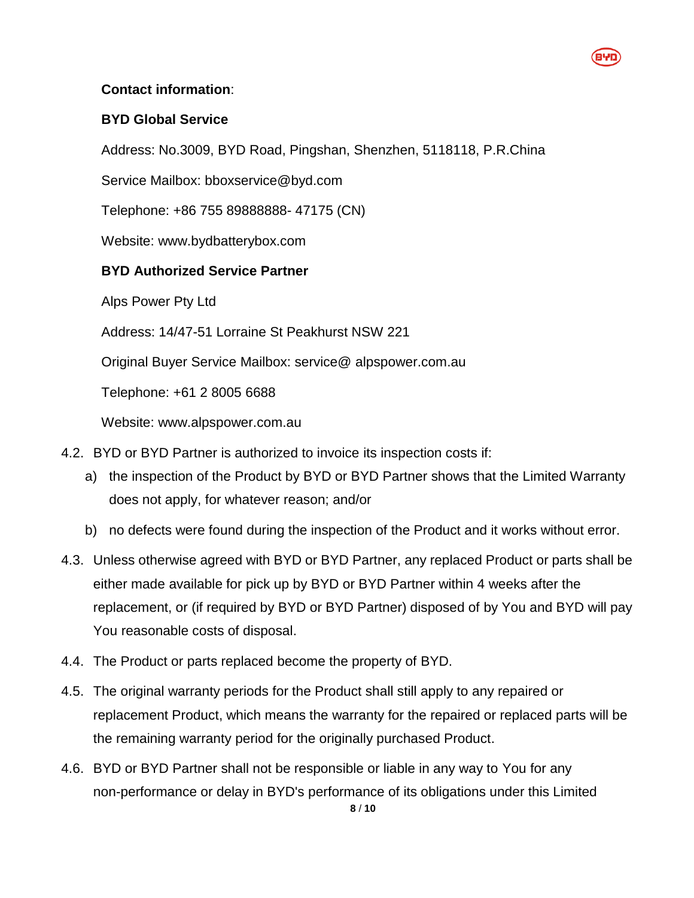### **Contact information**:

### **BYD Global Service**

Address: No.3009, BYD Road, Pingshan, Shenzhen, 5118118, P.R.China

Service Mailbox: bboxservice@byd.com

Telephone: +86 755 89888888- 47175 (CN)

Website: www.bydbatterybox.com

## **BYD Authorized Service Partner**

Alps Power Pty Ltd

Address: 14/47-51 Lorraine St Peakhurst NSW 221

Original Buyer Service Mailbox: service@ alpspower.com.au

Telephone: +61 2 8005 6688

Website: www.alpspower.com.au

- 4.2. BYD or BYD Partner is authorized to invoice its inspection costs if:
	- a) the inspection of the Product by BYD or BYD Partner shows that the Limited Warranty does not apply, for whatever reason; and/or
	- b) no defects were found during the inspection of the Product and it works without error.
- 4.3. Unless otherwise agreed with BYD or BYD Partner, any replaced Product or parts shall be either made available for pick up by BYD or BYD Partner within 4 weeks after the replacement, or (if required by BYD or BYD Partner) disposed of by You and BYD will pay You reasonable costs of disposal.
- 4.4. The Product or parts replaced become the property of BYD.
- 4.5. The original warranty periods for the Product shall still apply to any repaired or replacement Product, which means the warranty for the repaired or replaced parts will be the remaining warranty period for the originally purchased Product.
- 4.6. BYD or BYD Partner shall not be responsible or liable in any way to You for any non-performance or delay in BYD's performance of its obligations under this Limited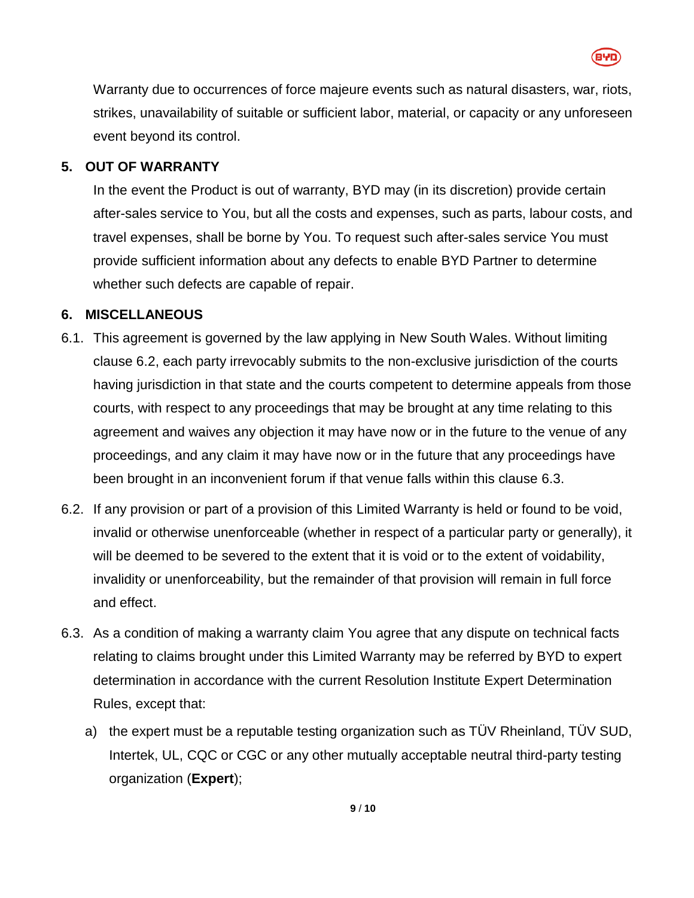

Warranty due to occurrences of force majeure events such as natural disasters, war, riots, strikes, unavailability of suitable or sufficient labor, material, or capacity or any unforeseen event beyond its control.

#### **5. OUT OF WARRANTY**

In the event the Product is out of warranty, BYD may (in its discretion) provide certain after-sales service to You, but all the costs and expenses, such as parts, labour costs, and travel expenses, shall be borne by You. To request such after-sales service You must provide sufficient information about any defects to enable BYD Partner to determine whether such defects are capable of repair.

### **6. MISCELLANEOUS**

- 6.1. This agreement is governed by the law applying in New South Wales. Without limiting clause [6.2,](#page-8-0) each party irrevocably submits to the non-exclusive jurisdiction of the courts having jurisdiction in that state and the courts competent to determine appeals from those courts, with respect to any proceedings that may be brought at any time relating to this agreement and waives any objection it may have now or in the future to the venue of any proceedings, and any claim it may have now or in the future that any proceedings have been brought in an inconvenient forum if that venue falls within this clause [6.3.](#page-8-1)
- <span id="page-8-0"></span>6.2. If any provision or part of a provision of this Limited Warranty is held or found to be void, invalid or otherwise unenforceable (whether in respect of a particular party or generally), it will be deemed to be severed to the extent that it is void or to the extent of voidability, invalidity or unenforceability, but the remainder of that provision will remain in full force and effect.
- <span id="page-8-1"></span>6.3. As a condition of making a warranty claim You agree that any dispute on technical facts relating to claims brought under this Limited Warranty may be referred by BYD to expert determination in accordance with the current Resolution Institute Expert Determination Rules, except that:
	- a) the expert must be a reputable testing organization such as TÜV Rheinland, TÜV SUD, Intertek, UL, CQC or CGC or any other mutually acceptable neutral third-party testing organization (**Expert**);